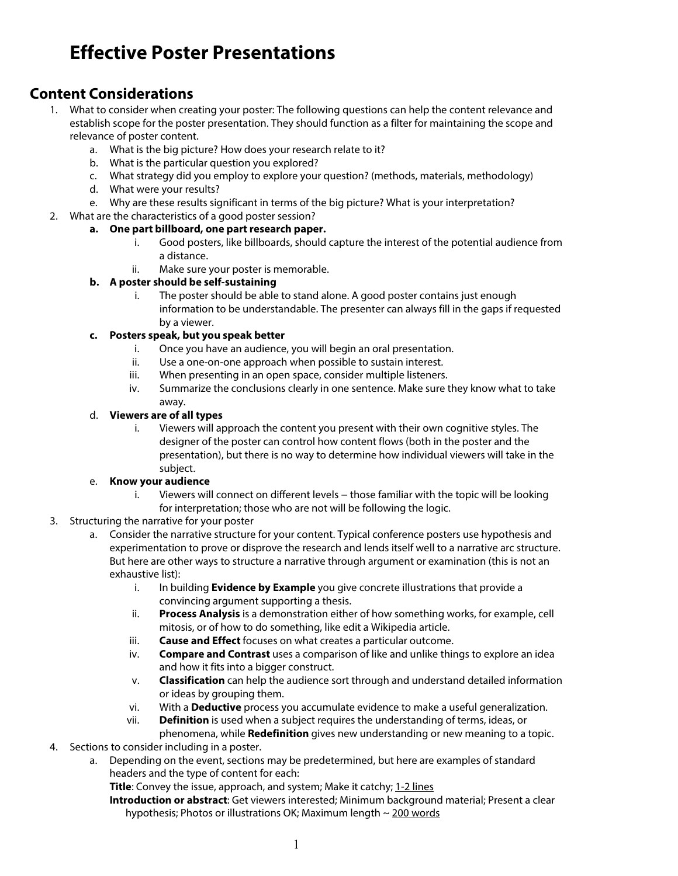# **Effective Poster Presentations**

# **Content Considerations**

- 1. What to consider when creating your poster: The following questions can help the content relevance and establish scope for the poster presentation. They should function as a filter for maintaining the scope and relevance of poster content.
	- a. What is the big picture? How does your research relate to it?
	- b. What is the particular question you explored?
	- c. What strategy did you employ to explore your question? (methods, materials, methodology)
	- d. What were your results?
	- e. Why are these results significant in terms of the big picture? What is your interpretation?

### 2. What are the characteristics of a good poster session?

### **a. One part billboard, one part research paper.**

- i. Good posters, like billboards, should capture the interest of the potential audience from a distance.
- ii. Make sure your poster is memorable.

#### **b. A poster should be self-sustaining**

i. The poster should be able to stand alone. A good poster contains just enough information to be understandable. The presenter can always fill in the gaps if requested by a viewer.

#### **c. Posters speak, but you speak better**

- i. Once you have an audience, you will begin an oral presentation.
- ii. Use a one-on-one approach when possible to sustain interest.
- iii. When presenting in an open space, consider multiple listeners.
- iv. Summarize the conclusions clearly in one sentence. Make sure they know what to take away.

#### d. **Viewers are of all types**

i. Viewers will approach the content you present with their own cognitive styles. The designer of the poster can control how content flows (both in the poster and the presentation), but there is no way to determine how individual viewers will take in the subject.

#### e. **Know your audience**

- i. Viewers will connect on different levels − those familiar with the topic will be looking for interpretation; those who are not will be following the logic.
- 3. Structuring the narrative for your poster
	- a. Consider the narrative structure for your content. Typical conference posters use hypothesis and experimentation to prove or disprove the research and lends itself well to a narrative arc structure. But here are other ways to structure a narrative through argument or examination (this is not an exhaustive list):
		- i. In building **Evidence by Example** you give concrete illustrations that provide a convincing argument supporting a thesis.
		- ii. **Process Analysis** is a demonstration either of how something works, for example, cell mitosis, or of how to do something, like edit a Wikipedia article.
		- iii. **Cause and Effect** focuses on what creates a particular outcome.
		- iv. **Compare and Contrast** uses a comparison of like and unlike things to explore an idea and how it fits into a bigger construct.
		- v. **Classification** can help the audience sort through and understand detailed information or ideas by grouping them.
		- vi. With a **Deductive** process you accumulate evidence to make a useful generalization.
		- vii. **Definition** is used when a subject requires the understanding of terms, ideas, or phenomena, while **Redefinition** gives new understanding or new meaning to a topic.
- 4. Sections to consider including in a poster.
	- a. Depending on the event, sections may be predetermined, but here are examples of standard headers and the type of content for each:

**Title**: Convey the issue, approach, and system; Make it catchy; 1-2 lines

**Introduction or abstract**: Get viewers interested; Minimum background material; Present a clear hypothesis; Photos or illustrations OK; Maximum length  $\sim$  200 words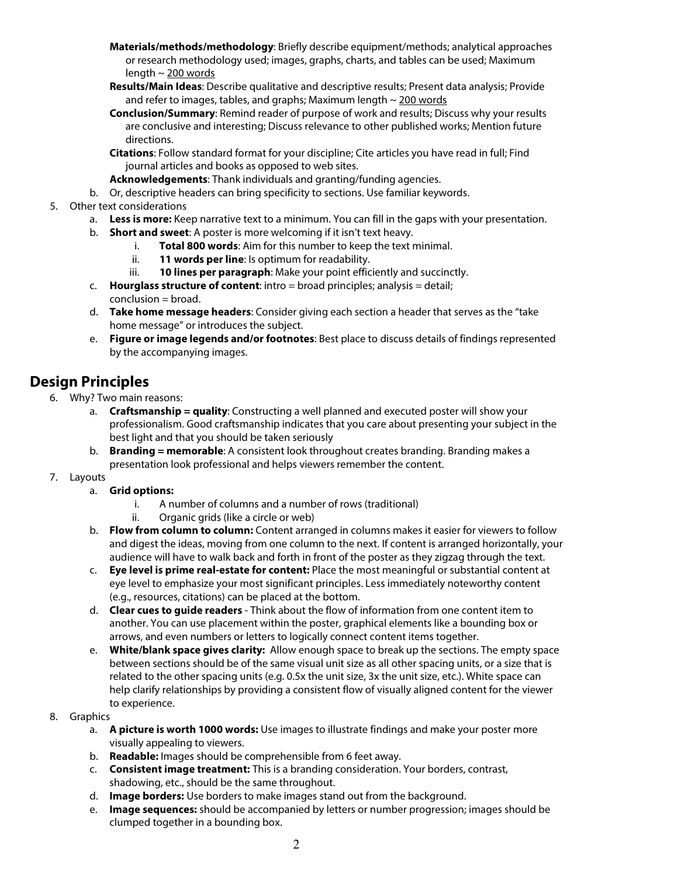- **Materials/methods/methodology**: Briefly describe equipment/methods; analytical approaches or research methodology used; images, graphs, charts, and tables can be used; Maximum length  $\sim$  200 words
- **Results/Main Ideas**: Describe qualitative and descriptive results; Present data analysis; Provide and refer to images, tables, and graphs; Maximum length  $\sim$  200 words
- **Conclusion/Summary**: Remind reader of purpose of work and results; Discuss why your results are conclusive and interesting; Discuss relevance to other published works; Mention future directions.
- **Citations**: Follow standard format for your discipline; Cite articles you have read in full; Find journal articles and books as opposed to web sites.
- **Acknowledgements**: Thank individuals and granting/funding agencies.
- b. Or, descriptive headers can bring specificity to sections. Use familiar keywords.
- 5. Other text considerations
	- a. **Less is more:** Keep narrative text to a minimum. You can fill in the gaps with your presentation.
	- b. **Short and sweet**: A poster is more welcoming if it isn't text heavy.
		- i. **Total 800 words**: Aim for this number to keep the text minimal.
		- ii. **11 words per line**: Is optimum for readability.
		- iii. **10 lines per paragraph**: Make your point efficiently and succinctly.
	- c. **Hourglass structure of content**: intro = broad principles; analysis = detail; conclusion = broad.
	- d. **Take home message headers**: Consider giving each section a header that serves as the "take home message" or introduces the subject.
	- e. **Figure or image legends and/or footnotes**: Best place to discuss details of findings represented by the accompanying images.

# **Design Principles**

- 6. Why? Two main reasons:
	- a. **Craftsmanship = quality**: Constructing a well planned and executed poster will show your professionalism. Good craftsmanship indicates that you care about presenting your subject in the best light and that you should be taken seriously
	- b. **Branding = memorable**: A consistent look throughout creates branding. Branding makes a presentation look professional and helps viewers remember the content.
- 7. Layouts
	- a. **Grid options:** 
		- i. A number of columns and a number of rows (traditional)
		- ii. Organic grids (like a circle or web)
		- b. **Flow from column to column:** Content arranged in columns makes it easier for viewers to follow and digest the ideas, moving from one column to the next. If content is arranged horizontally, your audience will have to walk back and forth in front of the poster as they zigzag through the text.
		- c. **Eye level is prime real-estate for content:** Place the most meaningful or substantial content at eye level to emphasize your most significant principles. Less immediately noteworthy content (e.g., resources, citations) can be placed at the bottom.
		- d. **Clear cues to guide readers** Think about the flow of information from one content item to another. You can use placement within the poster, graphical elements like a bounding box or arrows, and even numbers or letters to logically connect content items together.
		- e. **White/blank space gives clarity:** Allow enough space to break up the sections. The empty space between sections should be of the same visual unit size as all other spacing units, or a size that is related to the other spacing units (e.g. 0.5x the unit size, 3x the unit size, etc.). White space can help clarify relationships by providing a consistent flow of visually aligned content for the viewer to experience.
- 8. Graphics
	- a. **A picture is worth 1000 words:** Use images to illustrate findings and make your poster more visually appealing to viewers.
	- b. **Readable:** Images should be comprehensible from 6 feet away.
	- c. **Consistent image treatment:** This is a branding consideration. Your borders, contrast, shadowing, etc., should be the same throughout.
	- d. **Image borders:** Use borders to make images stand out from the background.
	- e. **Image sequences:** should be accompanied by letters or number progression; images should be clumped together in a bounding box.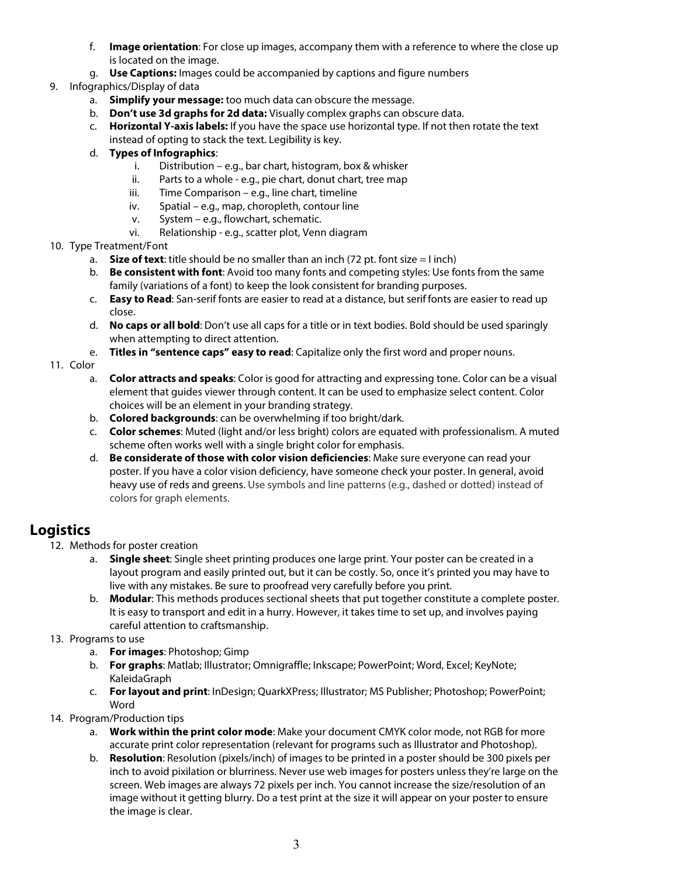- f. **Image orientation**: For close up images, accompany them with a reference to where the close up is located on the image.
- g. **Use Captions:** Images could be accompanied by captions and figure numbers
- 9. Infographics/Display of data
	- a. **Simplify your message:** too much data can obscure the message.
	- b. **Don't use 3d graphs for 2d data:** Visually complex graphs can obscure data.
	- c. **Horizontal Y-axis labels:** If you have the space use horizontal type. If not then rotate the text instead of opting to stack the text. Legibility is key.
	- d. **Types of Infographics**:
		- i. Distribution e.g., bar chart, histogram, box & whisker
		- ii. Parts to a whole e.g., pie chart, donut chart, tree map
		- iii. Time Comparison e.g., line chart, timeline
		- iv. Spatial e.g., map, choropleth, contour line
		- v. System e.g., flowchart, schematic.
		- vi. Relationship e.g., scatter plot, Venn diagram
- 10. Type Treatment/Font
	- a. **Size of text**: title should be no smaller than an inch  $(72 \text{ pt.}$  font size = I inch)
	- b. **Be consistent with font**: Avoid too many fonts and competing styles: Use fonts from the same family (variations of a font) to keep the look consistent for branding purposes.
	- c. **Easy to Read**: San-serif fonts are easier to read at a distance, but serif fonts are easier to read up close.
	- d. **No caps or all bold**: Don't use all caps for a title or in text bodies. Bold should be used sparingly when attempting to direct attention.
	- e. **Titles in "sentence caps" easy to read**: Capitalize only the first word and proper nouns.

### 11. Color

- a. **Color attracts and speaks**: Color is good for attracting and expressing tone. Color can be a visual element that guides viewer through content. It can be used to emphasize select content. Color choices will be an element in your branding strategy.
- b. **Colored backgrounds**: can be overwhelming if too bright/dark.
- c. **Color schemes**: Muted (light and/or less bright) colors are equated with professionalism. A muted scheme often works well with a single bright color for emphasis.
- d. **Be considerate of those with color vision deficiencies**: Make sure everyone can read your poster. If you have a color vision deficiency, have someone check your poster. In general, avoid heavy use of reds and greens. Use symbols and line patterns (e.g., dashed or dotted) instead of colors for graph elements.

# **Logistics**

- 12. Methods for poster creation
	- a. **Single sheet**: Single sheet printing produces one large print. Your poster can be created in a layout program and easily printed out, but it can be costly. So, once it's printed you may have to live with any mistakes. Be sure to proofread very carefully before you print.
	- b. **Modular**: This methods produces sectional sheets that put together constitute a complete poster. It is easy to transport and edit in a hurry. However, it takes time to set up, and involves paying careful attention to craftsmanship.
- 13. Programs to use
	- a. **For images**: Photoshop; Gimp
	- b. **For graphs**: Matlab; Illustrator; Omnigraffle; Inkscape; PowerPoint; Word, Excel; KeyNote; KaleidaGraph
	- c. **For layout and print**: InDesign; QuarkXPress; Illustrator; MS Publisher; Photoshop; PowerPoint; Word
- 14. Program/Production tips
	- a. **Work within the print color mode**: Make your document CMYK color mode, not RGB for more accurate print color representation (relevant for programs such as Illustrator and Photoshop).
	- b. **Resolution**: Resolution (pixels/inch) of images to be printed in a poster should be 300 pixels per inch to avoid pixilation or blurriness. Never use web images for posters unless they're large on the screen. Web images are always 72 pixels per inch. You cannot increase the size/resolution of an image without it getting blurry. Do a test print at the size it will appear on your poster to ensure the image is clear.